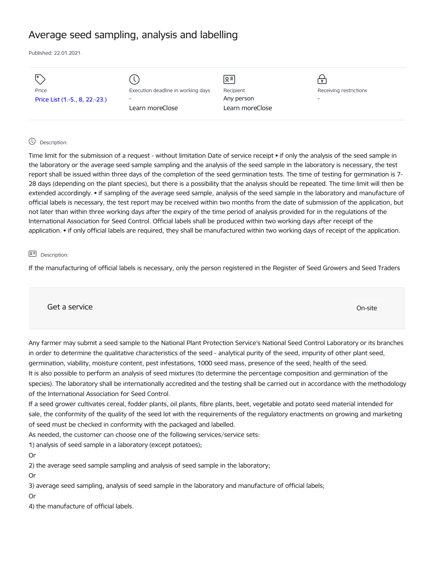# Average seed sampling, analysis and labelling

Published: 22.01.2021.

| I۰                             |                                    | 요               |                        |
|--------------------------------|------------------------------------|-----------------|------------------------|
| Price                          | Execution deadline in working days | Recipient       | Receiving restrictions |
| Price List (1.-5., 8, 22.-23.) | $\overline{a}$                     | Any person      | -                      |
|                                | Learn moreClose                    | Learn moreClose |                        |
|                                |                                    |                 |                        |

# Description:

Time limit for the submission of a request - without limitation Date of service receipt • if only the analysis of the seed sample in the laboratory or the average seed sample sampling and the analysis of the seed sample in the laboratory is necessary, the test report shall be issued within three days of the completion of the seed germination tests. The time of testing for germination is 7- 28 days (depending on the plant species), but there is a possibility that the analysis should be repeated. The time limit will then be extended accordingly. • if sampling of the average seed sample, analysis of the seed sample in the laboratory and manufacture of official labels is necessary, the test report may be received within two months from the date of submission of the application, but not later than within three working days after the expiry of the time period of analysis provided for in the regulations of the International Association for Seed Control. Official labels shall be produced within two working days after receipt of the application. • if only official labels are required, they shall be manufactured within two working days of receipt of the application.

#### **오** Description:

If the manufacturing of official labels is necessary, only the person registered in the Register of Seed Growers and Seed Traders

Get a service only a service of the contract of the contract of the contract of the contract of the contract of the contract of the contract of the contract of the contract of the contract of the contract of the contract o

Any farmer may submit a seed sample to the National Plant Protection Service's National Seed Control Laboratory or its branches in order to determine the qualitative characteristics of the seed - analytical purity of the seed, impurity of other plant seed, germination, viability, moisture content, pest infestations, 1000 seed mass, presence of the seed, health of the seed. It is also possible to perform an analysis of seed mixtures (to determine the percentage composition and germination of the species). The laboratory shall be internationally accredited and the testing shall be carried out in accordance with the methodology of the International Association for Seed Control.

If a seed grower cultivates cereal, fodder plants, oil plants, fibre plants, beet, vegetable and potato seed material intended for sale, the conformity of the quality of the seed lot with the requirements of the regulatory enactments on growing and marketing of seed must be checked in conformity with the packaged and labelled.

As needed, the customer can choose one of the following services/service sets:

1) analysis of seed sample in a laboratory (except potatoes);

Or

2) the average seed sample sampling and analysis of seed sample in the laboratory;

Or

3) average seed sampling, analysis of seed sample in the laboratory and manufacture of official labels;

Or

4) the manufacture of official labels.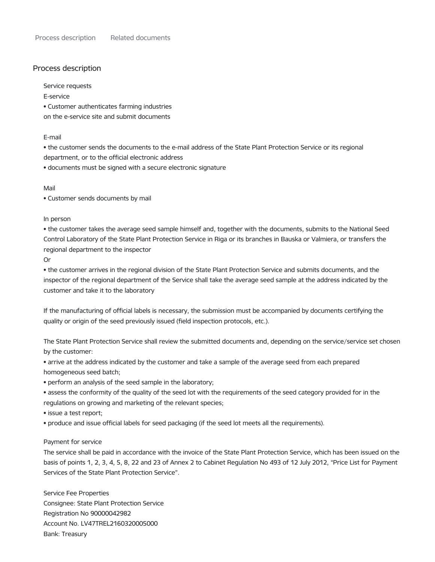# Process description

Service requests

E-service

• Customer authenticates farming industries

on the e-service site and submit documents

### E-mail

• the customer sends the documents to the e-mail address of the State Plant Protection Service or its regional department, or to the official electronic address

• documents must be signed with a secure electronic signature

Mail

• Customer sends documents by mail

In person

• the customer takes the average seed sample himself and, together with the documents, submits to the National Seed Control Laboratory of the State Plant Protection Service in Riga or its branches in Bauska or Valmiera, or transfers the regional department to the inspector

Or

• the customer arrives in the regional division of the State Plant Protection Service and submits documents, and the inspector of the regional department of the Service shall take the average seed sample at the address indicated by the customer and take it to the laboratory

If the manufacturing of official labels is necessary, the submission must be accompanied by documents certifying the quality or origin of the seed previously issued (field inspection protocols, etc.).

The State Plant Protection Service shall review the submitted documents and, depending on the service/service set chosen by the customer:

• arrive at the address indicated by the customer and take a sample of the average seed from each prepared homogeneous seed batch;

• perform an analysis of the seed sample in the laboratory;

• assess the conformity of the quality of the seed lot with the requirements of the seed category provided for in the regulations on growing and marketing of the relevant species;

• issue a test report;

• produce and issue official labels for seed packaging (if the seed lot meets all the requirements).

# Payment for service

The service shall be paid in accordance with the invoice of the State Plant Protection Service, which has been issued on the basis of points 1, 2, 3, 4, 5, 8, 22 and 23 of Annex 2 to Cabinet Regulation No 493 of 12 July 2012, "Price List for Payment Services of the State Plant Protection Service".

Service Fee Properties Consignee: State Plant Protection Service Registration No 90000042982 Account No. LV47TREL2160320005000 Bank: Treasury